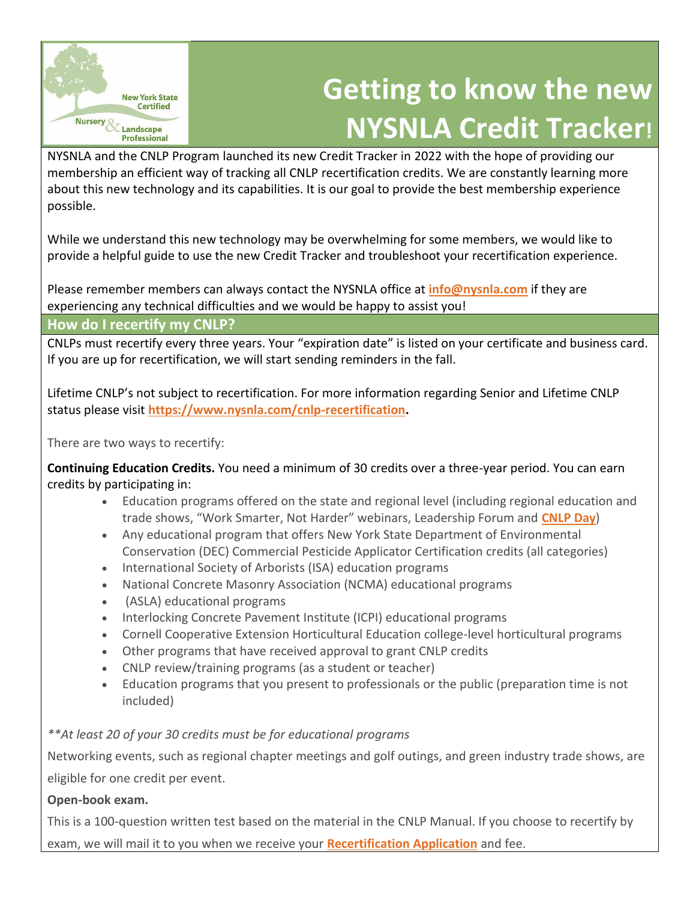

# **Getting to know the new NYSNLA Credit Tracker!**

NYSNLA and the CNLP Program launched its new Credit Tracker in 2022 with the hope of providing our membership an efficient way of tracking all CNLP recertification credits. We are constantly learning more about this new technology and its capabilities. It is our goal to provide the best membership experience possible.

While we understand this new technology may be overwhelming for some members, we would like to provide a helpful guide to use the new Credit Tracker and troubleshoot your recertification experience.

Please remember members can always contact the NYSNLA office at **[info@nysnla.com](mailto:info@nysnla.com)** if they are experiencing any technical difficulties and we would be happy to assist you!

## **How do I recertify my CNLP?**

CNLPs must recertify every three years. Your "expiration date" is listed on your certificate and business card. If you are up for recertification, we will start sending reminders in the fall.

Lifetime CNLP's not subject to recertification. For more information regarding Senior and Lifetime CNLP status please visit **[https://www.nysnla.com/cnlp-recertification.](https://www.nysnla.com/cnlp-recertification)**

There are two ways to recertify:

**Continuing Education Credits.** You need a minimum of 30 credits over a three-year period. You can earn credits by participating in:

- Education programs offered on the state and regional level (including regional education and trade shows, "Work Smarter, Not Harder" webinars, Leadership Forum and **[CNLP](https://www.nysnla.com/cnlp-day-2016-in-rochester--picture-perfect) Day**)
- Any educational program that offers New York State Department of Environmental Conservation (DEC) Commercial Pesticide Applicator Certification credits (all categories)
- International Society of Arborists (ISA) education programs
- National Concrete Masonry Association (NCMA) educational programs
- (ASLA) educational programs
- Interlocking Concrete Pavement Institute (ICPI) educational programs
- Cornell Cooperative Extension Horticultural Education college-level horticultural programs
- Other programs that have received approval to grant CNLP credits
- CNLP review/training programs (as a student or teacher)
- Education programs that you present to professionals or the public (preparation time is not included)

## *\*\*At least 20 of your 30 credits must be for educational programs*

Networking events, such as regional chapter meetings and golf outings, and green industry trade shows, are eligible for one credit per event.

## **Open-book exam.**

This is a 100-question written test based on the material in the CNLP Manual. If you choose to recertify by exam, we will mail it to you when we receive your **[Recertification Application](https://www.nysnla.com/assets/docs/CNLP_Recertification_Application_Fillable_07222020.pdf)** and fee.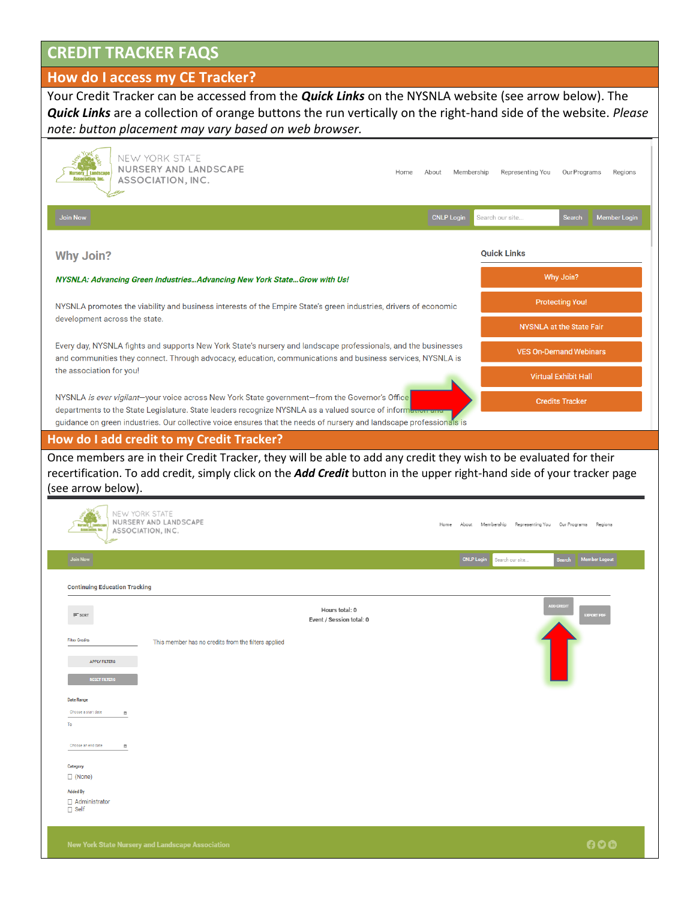# **CREDIT TRACKER FAQS**

## **How do I access my CE Tracker?**

Your Credit Tracker can be accessed from the *Quick Links* on the NYSNLA website (see arrow below). The *Quick Links* are a collection of orange buttons the run vertically on the right-hand side of the website. *Please note: button placement may vary based on web browser.*

| <b>Join Now</b><br><b>CNLP Login</b><br><b>Member Login</b><br>Search our site<br><b>Search</b><br><b>Quick Links</b><br><b>Why Join?</b><br>Why Join?<br>NYSNLA: Advancing Green IndustriesAdvancing New York StateGrow with Us!<br><b>Protecting You!</b><br>NYSNLA promotes the viability and business interests of the Empire State's green industries, drivers of economic<br>development across the state.<br><b>NYSNLA at the State Fair</b><br>Every day, NYSNLA fights and supports New York State's nursery and landscape professionals, and the businesses<br><b>VES On-Demand Webinars</b><br>and communities they connect. Through advocacy, education, communications and business services, NYSNLA is<br>the association for you!<br><b>Virtual Exhibit Hall</b><br>NYSNLA is ever vigilant-your voice across New York State government-from the Governor's Office<br><b>Credits Tracker</b><br>departments to the State Legislature. State leaders recognize NYSNLA as a valued source of informet<br>guidance on green industries. Our collective voice ensures that the needs of nursery and landscape professionals is<br>Once members are in their Credit Tracker, they will be able to add any credit they wish to be evaluated for their<br>recertification. To add credit, simply click on the <i>Add Credit</i> button in the upper right-hand side of your tracker page<br>(see arrow below).<br>NEW YORK STATE<br>NURSERY AND LANDSCAPE<br>About<br>Membership Representing You<br>Our Programs<br>Regions<br>Home<br>ASSOCIATION, INC.<br><b>CNLP Login</b><br>Member Logout<br><b>Join Now</b><br>iearch<br>Search our site.<br><b>Continuing Education Tracking</b><br>Hours total: 0<br>$\equiv$ SORT<br>export pd<br>Event / Session total: 0<br><b>Filter Credits</b><br>This member has no credits from the filters applied<br><b>APPLY FILTERS</b><br>RESET FILTERS<br><b>Date Range</b><br>Choose a start date<br>茴<br>To<br>Choose an end date<br>茴<br>Category<br>$\Box$ (None)<br><b>Added By</b><br>Administrator<br>$\Box$ Self | NEW YORK STATE<br>NURSERY AND LANDSCAPE<br><b>Nursery Landscape</b><br><b>Association, Inc.</b><br>ASSOCIATION, INC. | Home | About | Membership | Representing You | Our Programs | Regions |
|-------------------------------------------------------------------------------------------------------------------------------------------------------------------------------------------------------------------------------------------------------------------------------------------------------------------------------------------------------------------------------------------------------------------------------------------------------------------------------------------------------------------------------------------------------------------------------------------------------------------------------------------------------------------------------------------------------------------------------------------------------------------------------------------------------------------------------------------------------------------------------------------------------------------------------------------------------------------------------------------------------------------------------------------------------------------------------------------------------------------------------------------------------------------------------------------------------------------------------------------------------------------------------------------------------------------------------------------------------------------------------------------------------------------------------------------------------------------------------------------------------------------------------------------------------------------------------------------------------------------------------------------------------------------------------------------------------------------------------------------------------------------------------------------------------------------------------------------------------------------------------------------------------------------------------------------------------------------------------------------------------------------------------------------------------------------------|----------------------------------------------------------------------------------------------------------------------|------|-------|------------|------------------|--------------|---------|
|                                                                                                                                                                                                                                                                                                                                                                                                                                                                                                                                                                                                                                                                                                                                                                                                                                                                                                                                                                                                                                                                                                                                                                                                                                                                                                                                                                                                                                                                                                                                                                                                                                                                                                                                                                                                                                                                                                                                                                                                                                                                         |                                                                                                                      |      |       |            |                  |              |         |
|                                                                                                                                                                                                                                                                                                                                                                                                                                                                                                                                                                                                                                                                                                                                                                                                                                                                                                                                                                                                                                                                                                                                                                                                                                                                                                                                                                                                                                                                                                                                                                                                                                                                                                                                                                                                                                                                                                                                                                                                                                                                         |                                                                                                                      |      |       |            |                  |              |         |
|                                                                                                                                                                                                                                                                                                                                                                                                                                                                                                                                                                                                                                                                                                                                                                                                                                                                                                                                                                                                                                                                                                                                                                                                                                                                                                                                                                                                                                                                                                                                                                                                                                                                                                                                                                                                                                                                                                                                                                                                                                                                         |                                                                                                                      |      |       |            |                  |              |         |
|                                                                                                                                                                                                                                                                                                                                                                                                                                                                                                                                                                                                                                                                                                                                                                                                                                                                                                                                                                                                                                                                                                                                                                                                                                                                                                                                                                                                                                                                                                                                                                                                                                                                                                                                                                                                                                                                                                                                                                                                                                                                         |                                                                                                                      |      |       |            |                  |              |         |
|                                                                                                                                                                                                                                                                                                                                                                                                                                                                                                                                                                                                                                                                                                                                                                                                                                                                                                                                                                                                                                                                                                                                                                                                                                                                                                                                                                                                                                                                                                                                                                                                                                                                                                                                                                                                                                                                                                                                                                                                                                                                         |                                                                                                                      |      |       |            |                  |              |         |
|                                                                                                                                                                                                                                                                                                                                                                                                                                                                                                                                                                                                                                                                                                                                                                                                                                                                                                                                                                                                                                                                                                                                                                                                                                                                                                                                                                                                                                                                                                                                                                                                                                                                                                                                                                                                                                                                                                                                                                                                                                                                         |                                                                                                                      |      |       |            |                  |              |         |
|                                                                                                                                                                                                                                                                                                                                                                                                                                                                                                                                                                                                                                                                                                                                                                                                                                                                                                                                                                                                                                                                                                                                                                                                                                                                                                                                                                                                                                                                                                                                                                                                                                                                                                                                                                                                                                                                                                                                                                                                                                                                         |                                                                                                                      |      |       |            |                  |              |         |
|                                                                                                                                                                                                                                                                                                                                                                                                                                                                                                                                                                                                                                                                                                                                                                                                                                                                                                                                                                                                                                                                                                                                                                                                                                                                                                                                                                                                                                                                                                                                                                                                                                                                                                                                                                                                                                                                                                                                                                                                                                                                         |                                                                                                                      |      |       |            |                  |              |         |
|                                                                                                                                                                                                                                                                                                                                                                                                                                                                                                                                                                                                                                                                                                                                                                                                                                                                                                                                                                                                                                                                                                                                                                                                                                                                                                                                                                                                                                                                                                                                                                                                                                                                                                                                                                                                                                                                                                                                                                                                                                                                         |                                                                                                                      |      |       |            |                  |              |         |
|                                                                                                                                                                                                                                                                                                                                                                                                                                                                                                                                                                                                                                                                                                                                                                                                                                                                                                                                                                                                                                                                                                                                                                                                                                                                                                                                                                                                                                                                                                                                                                                                                                                                                                                                                                                                                                                                                                                                                                                                                                                                         | How do I add credit to my Credit Tracker?                                                                            |      |       |            |                  |              |         |
|                                                                                                                                                                                                                                                                                                                                                                                                                                                                                                                                                                                                                                                                                                                                                                                                                                                                                                                                                                                                                                                                                                                                                                                                                                                                                                                                                                                                                                                                                                                                                                                                                                                                                                                                                                                                                                                                                                                                                                                                                                                                         |                                                                                                                      |      |       |            |                  |              |         |
|                                                                                                                                                                                                                                                                                                                                                                                                                                                                                                                                                                                                                                                                                                                                                                                                                                                                                                                                                                                                                                                                                                                                                                                                                                                                                                                                                                                                                                                                                                                                                                                                                                                                                                                                                                                                                                                                                                                                                                                                                                                                         |                                                                                                                      |      |       |            |                  |              |         |
|                                                                                                                                                                                                                                                                                                                                                                                                                                                                                                                                                                                                                                                                                                                                                                                                                                                                                                                                                                                                                                                                                                                                                                                                                                                                                                                                                                                                                                                                                                                                                                                                                                                                                                                                                                                                                                                                                                                                                                                                                                                                         |                                                                                                                      |      |       |            |                  |              |         |
|                                                                                                                                                                                                                                                                                                                                                                                                                                                                                                                                                                                                                                                                                                                                                                                                                                                                                                                                                                                                                                                                                                                                                                                                                                                                                                                                                                                                                                                                                                                                                                                                                                                                                                                                                                                                                                                                                                                                                                                                                                                                         |                                                                                                                      |      |       |            |                  |              |         |
|                                                                                                                                                                                                                                                                                                                                                                                                                                                                                                                                                                                                                                                                                                                                                                                                                                                                                                                                                                                                                                                                                                                                                                                                                                                                                                                                                                                                                                                                                                                                                                                                                                                                                                                                                                                                                                                                                                                                                                                                                                                                         |                                                                                                                      |      |       |            |                  |              |         |
|                                                                                                                                                                                                                                                                                                                                                                                                                                                                                                                                                                                                                                                                                                                                                                                                                                                                                                                                                                                                                                                                                                                                                                                                                                                                                                                                                                                                                                                                                                                                                                                                                                                                                                                                                                                                                                                                                                                                                                                                                                                                         |                                                                                                                      |      |       |            |                  |              |         |
|                                                                                                                                                                                                                                                                                                                                                                                                                                                                                                                                                                                                                                                                                                                                                                                                                                                                                                                                                                                                                                                                                                                                                                                                                                                                                                                                                                                                                                                                                                                                                                                                                                                                                                                                                                                                                                                                                                                                                                                                                                                                         |                                                                                                                      |      |       |            |                  |              |         |
|                                                                                                                                                                                                                                                                                                                                                                                                                                                                                                                                                                                                                                                                                                                                                                                                                                                                                                                                                                                                                                                                                                                                                                                                                                                                                                                                                                                                                                                                                                                                                                                                                                                                                                                                                                                                                                                                                                                                                                                                                                                                         |                                                                                                                      |      |       |            |                  |              |         |
|                                                                                                                                                                                                                                                                                                                                                                                                                                                                                                                                                                                                                                                                                                                                                                                                                                                                                                                                                                                                                                                                                                                                                                                                                                                                                                                                                                                                                                                                                                                                                                                                                                                                                                                                                                                                                                                                                                                                                                                                                                                                         |                                                                                                                      |      |       |            |                  |              |         |
|                                                                                                                                                                                                                                                                                                                                                                                                                                                                                                                                                                                                                                                                                                                                                                                                                                                                                                                                                                                                                                                                                                                                                                                                                                                                                                                                                                                                                                                                                                                                                                                                                                                                                                                                                                                                                                                                                                                                                                                                                                                                         |                                                                                                                      |      |       |            |                  |              |         |
|                                                                                                                                                                                                                                                                                                                                                                                                                                                                                                                                                                                                                                                                                                                                                                                                                                                                                                                                                                                                                                                                                                                                                                                                                                                                                                                                                                                                                                                                                                                                                                                                                                                                                                                                                                                                                                                                                                                                                                                                                                                                         |                                                                                                                      |      |       |            |                  |              |         |
|                                                                                                                                                                                                                                                                                                                                                                                                                                                                                                                                                                                                                                                                                                                                                                                                                                                                                                                                                                                                                                                                                                                                                                                                                                                                                                                                                                                                                                                                                                                                                                                                                                                                                                                                                                                                                                                                                                                                                                                                                                                                         |                                                                                                                      |      |       |            |                  |              |         |
|                                                                                                                                                                                                                                                                                                                                                                                                                                                                                                                                                                                                                                                                                                                                                                                                                                                                                                                                                                                                                                                                                                                                                                                                                                                                                                                                                                                                                                                                                                                                                                                                                                                                                                                                                                                                                                                                                                                                                                                                                                                                         |                                                                                                                      |      |       |            |                  |              |         |
|                                                                                                                                                                                                                                                                                                                                                                                                                                                                                                                                                                                                                                                                                                                                                                                                                                                                                                                                                                                                                                                                                                                                                                                                                                                                                                                                                                                                                                                                                                                                                                                                                                                                                                                                                                                                                                                                                                                                                                                                                                                                         |                                                                                                                      |      |       |            |                  |              |         |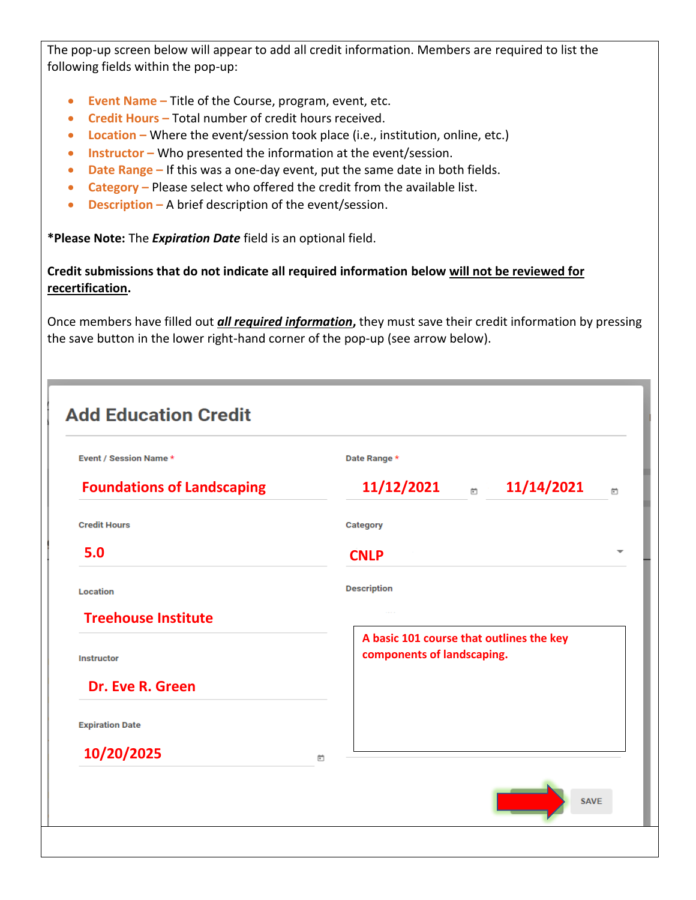The pop-up screen below will appear to add all credit information. Members are required to list the following fields within the pop-up:

- **Event Name –** Title of the Course, program, event, etc.
- **Credit Hours –** Total number of credit hours received.
- Location Where the event/session took place (i.e., institution, online, etc.)
- **Instructor –** Who presented the information at the event/session.
- **Date Range –** If this was a one-day event, put the same date in both fields.
- **Category –** Please select who offered the credit from the available list.
- **Description –** A brief description of the event/session.

**\*Please Note:** The *Expiration Date* field is an optional field.

**Credit submissions that do not indicate all required information below will not be reviewed for recertification.** 

Once members have filled out *all required information***,** they must save their credit information by pressing the save button in the lower right-hand corner of the pop-up (see arrow below).

| Event / Session Name *            |   | Date Range *                                                           |
|-----------------------------------|---|------------------------------------------------------------------------|
| <b>Foundations of Landscaping</b> |   | 11/12/2021<br>11/14/2021<br>曲                                          |
| <b>Credit Hours</b>               |   | Category                                                               |
| 5.0                               |   | <b>CNLP</b>                                                            |
| <b>Location</b>                   |   | <b>Description</b>                                                     |
| <b>Treehouse Institute</b>        |   |                                                                        |
| <b>Instructor</b>                 |   | A basic 101 course that outlines the key<br>components of landscaping. |
| Dr. Eve R. Green                  |   |                                                                        |
| <b>Expiration Date</b>            |   |                                                                        |
|                                   | 茴 |                                                                        |
|                                   |   |                                                                        |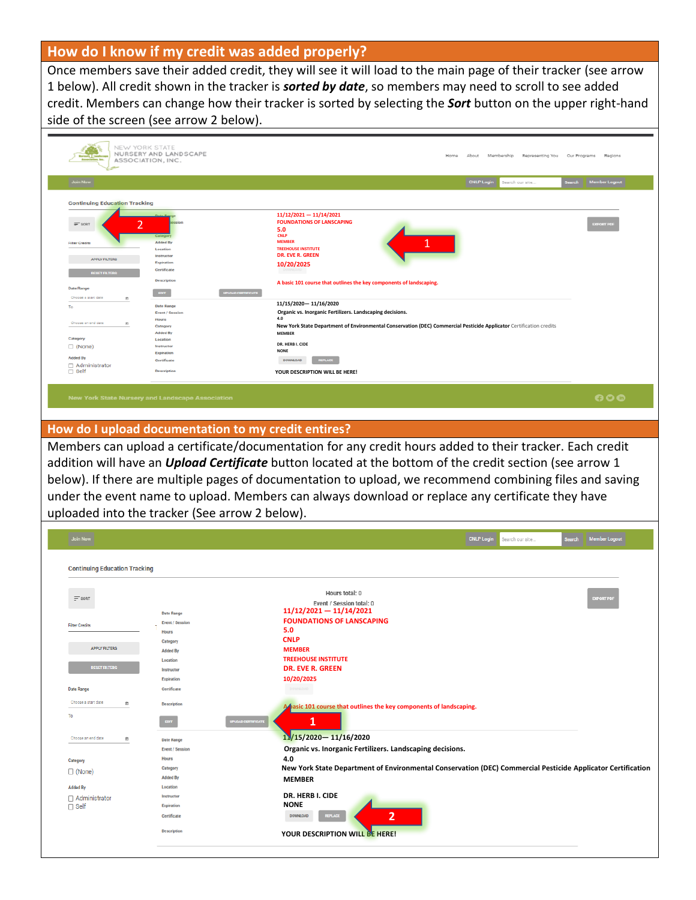## **How do I know if my credit was added properly?**

Once members save their added credit, they will see it will load to the main page of their tracker (see arrow 1 below). All credit shown in the tracker is *sorted by date*, so members may need to scroll to see added credit. Members can change how their tracker is sorted by selecting the *Sort* button on the upper right-hand side of the screen (see arrow 2 below).

| NEW YORK STATE<br>NURSERY AND LANDSCAPE<br>ASSOCIATION, INC.                                            | About Membership<br>Representing You Our Programs<br>Home                                                                                                | Regions                        |
|---------------------------------------------------------------------------------------------------------|----------------------------------------------------------------------------------------------------------------------------------------------------------|--------------------------------|
| <b>Join Now</b>                                                                                         | <b>CNLP Login</b><br>Search our site                                                                                                                     | <b>Member Logout</b><br>Search |
| <b>Continuing Education Tracking</b>                                                                    |                                                                                                                                                          |                                |
| anime<br>$=$ sont<br>Category<br><b>Added By</b><br><b>Filter Credits</b>                               | $11/12/2021 - 11/14/2021$<br><b>FOUNDATIONS OF LANSCAPING</b><br>5.0<br><b>CNLP</b><br>1<br><b>MEMBER</b>                                                | <b>EXPORT PDF</b>              |
| Location<br>Instructor<br><b>APPLY FILTERS</b><br>Expiration<br>Certificate<br><b>RESET FILTERS</b>     | <b>TREEHOUSE INSTITUTE</b><br><b>DR. EVE R. GREEN</b><br>10/20/2025                                                                                      |                                |
| <b>Description</b><br><b>Date Range</b><br>$-$<br>Choose a start date<br>$\mathfrak{m}$                 | A basic 101 course that outlines the key components of landscaping.<br><b>UPLOAD CERTIFICATE</b>                                                         |                                |
| <b>Date Range</b><br>To<br><b>Event / Session</b><br><b>Mours</b><br>Choose an end date<br>$\mathbb{R}$ | 11/15/2020-11/16/2020<br>Organic vs. Inorganic Fertilizers. Landscaping decisions.<br>4.0                                                                |                                |
| Category<br><b>Added By</b><br>Category<br>Location<br>$\Box$ (None)<br>Instructor                      | New York State Department of Environmental Conservation (DEC) Commercial Pesticide Applicator Certification credits<br><b>MEMBER</b><br>DR. HERB I. CIDE |                                |
| Expiration<br><b>Added By</b><br>Certificate<br>$\Box$ Administrator<br>$\Box$ Self<br>Description      | <b>NONE</b><br><b>REPLACE</b><br>DOWNLOAD<br>YOUR DESCRIPTION WILL BE HERE!                                                                              |                                |
| <b>New York State Nursery and Landscape Association</b>                                                 |                                                                                                                                                          | 000                            |
| How do I upload documentation to my credit entires?                                                     |                                                                                                                                                          |                                |

Members can upload a certificate/documentation for any credit hours added to their tracker. Each credit addition will have an *Upload Certificate* button located at the bottom of the credit section (see arrow 1 below). If there are multiple pages of documentation to upload, we recommend combining files and saving under the event name to upload. Members can always download or replace any certificate they have uploaded into the tracker (See arrow 2 below).

| <b>Join Now</b>                      |                                    | <b>Member Logout</b><br><b>CNLP Login</b><br>Search our site<br><b>Search</b>                               |
|--------------------------------------|------------------------------------|-------------------------------------------------------------------------------------------------------------|
| <b>Continuing Education Tracking</b> |                                    |                                                                                                             |
|                                      |                                    | Hours total: 0                                                                                              |
| $\equiv$ SORT                        |                                    | <b>EXPORT PDF</b><br>Event / Session total: 0                                                               |
|                                      | <b>Date Range</b>                  | $11/12/2021 - 11/14/2021$                                                                                   |
| <b>Filter Credits</b>                | <b>Event / Session</b>             | <b>FOUNDATIONS OF LANSCAPING</b>                                                                            |
|                                      | <b>Hours</b>                       | 5.0                                                                                                         |
|                                      | Category                           | <b>CNLP</b>                                                                                                 |
| <b>APPLY FILTERS</b>                 | <b>Added By</b>                    | <b>MEMBER</b>                                                                                               |
|                                      | Location                           | <b>TREEHOUSE INSTITUTE</b>                                                                                  |
| <b>RESET FILTERS</b>                 | Instructor                         | <b>DR. EVE R. GREEN</b>                                                                                     |
|                                      | Expiration                         | 10/20/2025                                                                                                  |
| <b>Date Range</b>                    | Certificate                        | DOWNLOAD                                                                                                    |
| Choose a start date<br>首             | Description                        | A pasic 101 course that outlines the key components of landscaping.                                         |
| To                                   | <b>UPLOAD CERTIFICATE</b><br>EDIT. | 1                                                                                                           |
| Choose an end date<br>目              | <b>Date Range</b>                  | 11/15/2020 - 11/16/2020                                                                                     |
|                                      | <b>Event / Session</b>             | Organic vs. Inorganic Fertilizers. Landscaping decisions.                                                   |
| Category                             | Hours                              | 4.0                                                                                                         |
| $\Box$ (None)                        | Category                           | New York State Department of Environmental Conservation (DEC) Commercial Pesticide Applicator Certification |
|                                      | <b>Added By</b>                    | <b>MEMBER</b>                                                                                               |
| <b>Added By</b>                      | Location                           |                                                                                                             |
| □ Administrator                      | Instructor                         | DR. HERB I. CIDE                                                                                            |
| $\Box$ Self                          | <b>Expiration</b>                  | <b>NONE</b>                                                                                                 |
|                                      | Certificate                        | $\overline{2}$<br><b>DOWNLOAD</b><br><b>REPLACE</b>                                                         |
|                                      | <b>Description</b>                 | YOUR DESCRIPTION WILL BE HERE!                                                                              |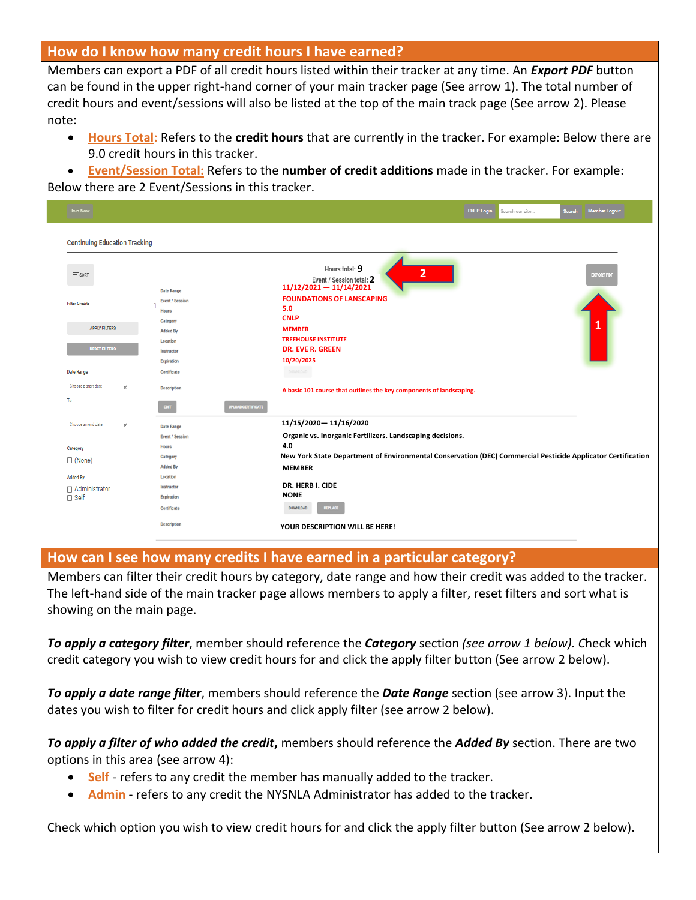### **How do I know how many credit hours I have earned?**

Members can export a PDF of all credit hours listed within their tracker at any time. An *Export PDF* button can be found in the upper right-hand corner of your main tracker page (See arrow 1). The total number of credit hours and event/sessions will also be listed at the top of the main track page (See arrow 2). Please note:

- **Hours Total:** Refers to the **credit hours** that are currently in the tracker. For example: Below there are 9.0 credit hours in this tracker.
- **Event/Session Total:** Refers to the **number of credit additions** made in the tracker. For example: Below there are 2 Event/Sessions in this tracker.

| <b>Join Now</b>                                                                                             |                                                                                                                                            | <b>Member Logout</b><br><b>CNLP Login</b><br>Search our site<br>Search                                                                                                                                                                                          |  |  |  |  |  |  |  |
|-------------------------------------------------------------------------------------------------------------|--------------------------------------------------------------------------------------------------------------------------------------------|-----------------------------------------------------------------------------------------------------------------------------------------------------------------------------------------------------------------------------------------------------------------|--|--|--|--|--|--|--|
| <b>Continuing Education Tracking</b>                                                                        |                                                                                                                                            |                                                                                                                                                                                                                                                                 |  |  |  |  |  |  |  |
| $\equiv$ SORT<br><b>Filter Credits</b><br><b>APPLY FILTERS</b><br><b>RESET FILTERS</b><br><b>Date Range</b> | <b>Date Range</b><br><b>Event / Session</b><br>Hours<br>Category<br><b>Added By</b><br>Location<br>Instructor<br>Expiration<br>Certificate | Hours total: 9<br>2<br><b>EXPORT PDF</b><br>Event / Session total: 2<br>$11/12/2021 - 11/14/2021$<br><b>FOUNDATIONS OF LANSCAPING</b><br>5.0<br><b>CNLP</b><br><b>MEMBER</b><br><b>TREEHOUSE INSTITUTE</b><br><b>DR. EVE R. GREEN</b><br>10/20/2025<br>DOWNLOAD |  |  |  |  |  |  |  |
| Choose a start date<br>筒<br>To                                                                              | <b>Description</b><br><b>UPLOAD CERTIFICATE</b><br>EDIT                                                                                    | A basic 101 course that outlines the key components of landscaping.                                                                                                                                                                                             |  |  |  |  |  |  |  |
| Choose an end date<br>筒<br>Category<br>$\Box$ (None)<br><b>Added By</b><br>□ Administrator<br>$\Box$ Self   | <b>Date Range</b><br><b>Event / Session</b><br>Hours<br>Category<br><b>Added By</b><br>Location<br>Instructor<br>Expiration                | 11/15/2020-11/16/2020<br>Organic vs. Inorganic Fertilizers. Landscaping decisions.<br>4.0<br>New York State Department of Environmental Conservation (DEC) Commercial Pesticide Applicator Certification<br><b>MEMBER</b><br>DR. HERB I. CIDE<br><b>NONE</b>    |  |  |  |  |  |  |  |
|                                                                                                             | Certificate<br><b>Description</b>                                                                                                          | <b>DOWNLOAD</b><br><b>REPLACE</b><br>YOUR DESCRIPTION WILL BE HERE!                                                                                                                                                                                             |  |  |  |  |  |  |  |

#### **How can I see how many credits I have earned in a particular category?**

Members can filter their credit hours by category, date range and how their credit was added to the tracker. The left-hand side of the main tracker page allows members to apply a filter, reset filters and sort what is showing on the main page.

*To apply a category filter*, member should reference the *Category* section *(see arrow 1 below). C*heck which credit category you wish to view credit hours for and click the apply filter button (See arrow 2 below).

*To apply a date range filter*, members should reference the *Date Range* section (see arrow 3). Input the dates you wish to filter for credit hours and click apply filter (see arrow 2 below).

*To apply a filter of who added the credit***,** members should reference the *Added By* section. There are two options in this area (see arrow 4):

- **Self** refers to any credit the member has manually added to the tracker.
- **Admin** refers to any credit the NYSNLA Administrator has added to the tracker.

Check which option you wish to view credit hours for and click the apply filter button (See arrow 2 below).